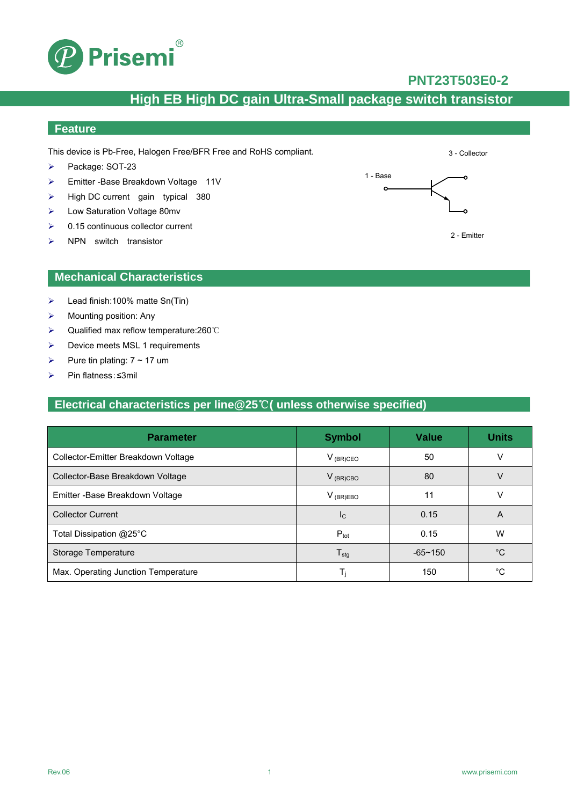

### **PNT23T503E0-2**

3 - Collector

## **High EB High DC gain Ultra-Small package switch transistor**

## **Feature**

This device is Pb-Free, Halogen Free/BFR Free and RoHS compliant.

- Package: SOT-23
- ▶ Emitter -Base Breakdown Voltage 11V
- $\triangleright$  High DC current gain typical 380
- Low Saturation Voltage 80mv
- $\geq 0.15$  continuous collector current
- $\triangleright$  NPN switch transistor

#### **Mechanical Characteristics**

- $\triangleright$  Lead finish:100% matte Sn(Tin)
- $\triangleright$  Mounting position: Any
- Qualified max reflow temperature:260℃
- $\triangleright$  Device meets MSL 1 requirements
- Pure tin plating:  $7 \sim 17$  um
- Pin flatness:≤3mil

### **Electrical characteristics per line@25**℃**( unless otherwise specified)**

| <b>Parameter</b>                    | <b>Symbol</b>              | <b>Value</b> | <b>Units</b> |
|-------------------------------------|----------------------------|--------------|--------------|
| Collector-Emitter Breakdown Voltage | $V_{(BR)CEO}$              | 50           |              |
| Collector-Base Breakdown Voltage    | $V_{(BR)CBO}$              | 80           | V            |
| Emitter - Base Breakdown Voltage    | $V_{(BR)EBO}$              | 11           | v            |
| <b>Collector Current</b>            | $I_{\rm C}$                | 0.15         | A            |
| Total Dissipation @25°C             | $P_{\text{tot}}$           | 0.15         | W            |
| Storage Temperature                 | ${\mathsf T}_{\text{stg}}$ | $-65 - 150$  | °C           |
| Max. Operating Junction Temperature | T,                         | 150          | °C           |

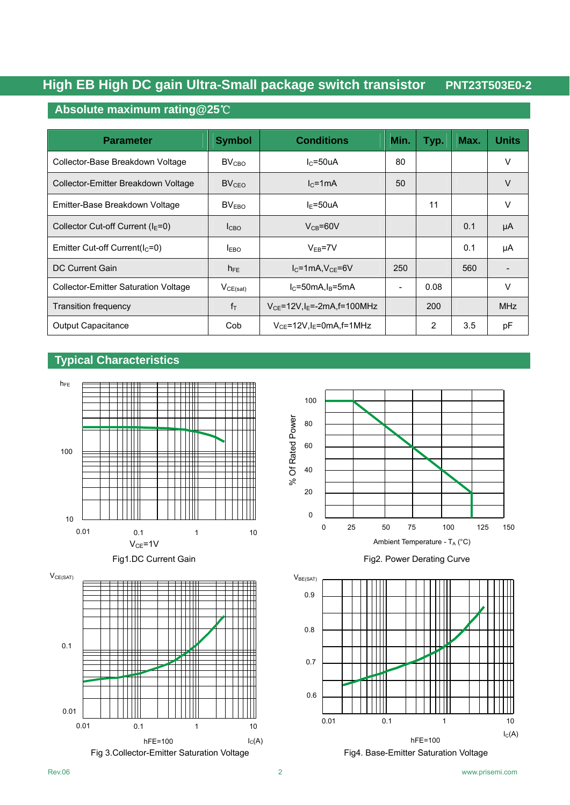### **Absolute maximum rating@25**℃

| <b>Parameter</b>                            | <b>Symbol</b>     | <b>Conditions</b>                             | Min. | Typ. | Max. | <b>Units</b> |
|---------------------------------------------|-------------------|-----------------------------------------------|------|------|------|--------------|
| Collector-Base Breakdown Voltage            | $BV_{CRO}$        | $IC=50uA$                                     | 80   |      |      | $\vee$       |
| Collector-Emitter Breakdown Voltage         | $BV_{CFO}$        | $Ic=1mA$                                      | 50   |      |      | $\vee$       |
| Emitter-Base Breakdown Voltage              | BV <sub>FRO</sub> | $I_F = 50uA$                                  |      | 11   |      | V            |
| Collector Cut-off Current ( $IE=0$ )        | I <sub>CBO</sub>  | $V_{CB} = 60V$                                |      |      | 0.1  | μA           |
| Emitter Cut-off Current( $IC=0$ )           | I <sub>EBO</sub>  | $V_{FB} = 7V$                                 |      |      | 0.1  | μA           |
| DC Current Gain                             | $h_{FE}$          | $I_{C}$ =1mA, $V_{CE}$ =6V                    | 250  |      | 560  |              |
| <b>Collector-Emitter Saturation Voltage</b> | $V_{CE(sat)}$     | $IC=50mA, IB=5mA$                             |      | 0.08 |      | V            |
| <b>Transition frequency</b>                 | $f_T$             | $V_{CE}$ =12V, I <sub>E</sub> =-2mA, f=100MHz |      | 200  |      | <b>MHz</b>   |
| <b>Output Capacitance</b>                   | Cob               | $V_{CE}$ =12V, I <sub>E</sub> =0mA, f=1MHz    |      | 2    | 3.5  | рF           |

#### **Typical Characteristics**



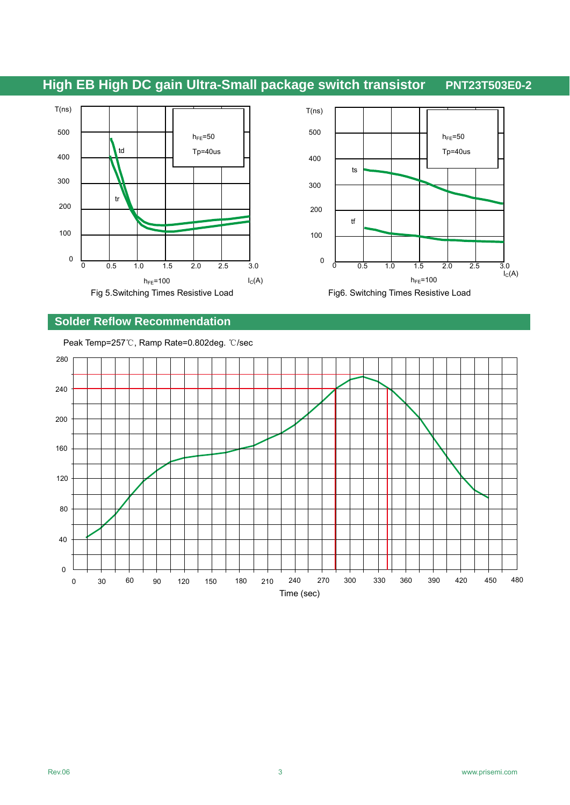



## **Solder Reflow Recommendation**

Peak Temp=257℃, Ramp Rate=0.802deg. ℃/sec

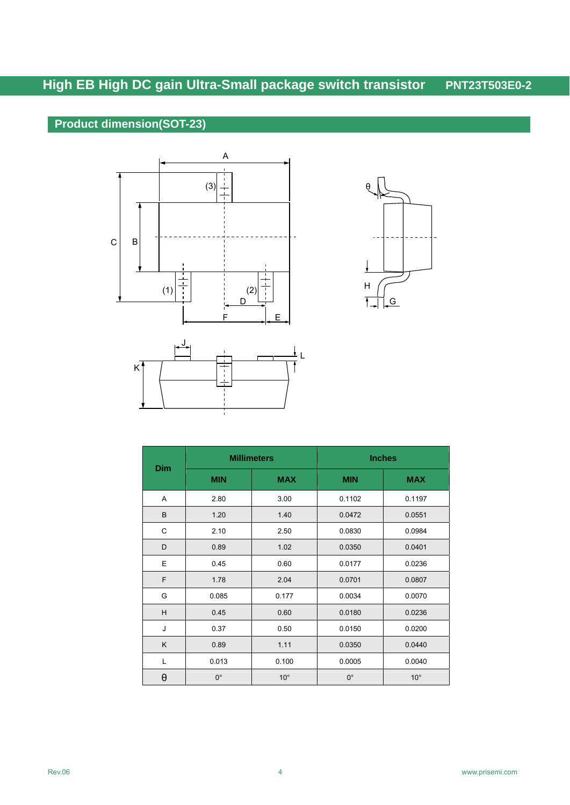## **Product dimension(SOT-23)**







|     | <b>Millimeters</b> |              | <b>Inches</b> |              |  |
|-----|--------------------|--------------|---------------|--------------|--|
| Dim | <b>MIN</b>         | <b>MAX</b>   | <b>MIN</b>    | <b>MAX</b>   |  |
| Α   | 2.80               | 3.00         | 0.1102        | 0.1197       |  |
| B   | 1.20               | 1.40         | 0.0472        | 0.0551       |  |
| C   | 2.10               | 2.50         | 0.0830        | 0.0984       |  |
| D   | 0.89               | 1.02         | 0.0350        | 0.0401       |  |
| E   | 0.45               | 0.60         | 0.0177        | 0.0236       |  |
| F   | 1.78               | 2.04         | 0.0701        | 0.0807       |  |
| G   | 0.085              | 0.177        | 0.0034        | 0.0070       |  |
| H   | 0.45               | 0.60         | 0.0180        | 0.0236       |  |
| J   | 0.37               | 0.50         | 0.0150        | 0.0200       |  |
| K   | 0.89               | 1.11         | 0.0350        | 0.0440       |  |
| L   | 0.013              | 0.100        | 0.0005        | 0.0040       |  |
| θ   | $0^{\circ}$        | $10^{\circ}$ | $0^{\circ}$   | $10^{\circ}$ |  |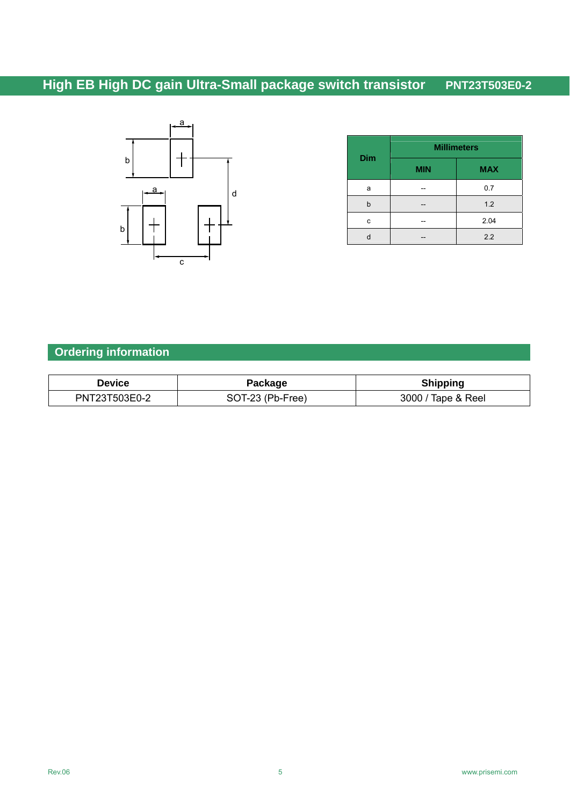

| <b>Dim</b> | <b>Millimeters</b> |            |  |
|------------|--------------------|------------|--|
|            | <b>MIN</b>         | <b>MAX</b> |  |
| а          |                    | 0.7        |  |
| b          |                    | 1.2        |  |
| C          |                    | 2.04       |  |
|            |                    | 2.2        |  |

## **Ordering information**

| Device        | Package          | <b>Shipping</b>    |  |  |
|---------------|------------------|--------------------|--|--|
| PNT23T503E0-2 | SOT-23 (Pb-Free) | 3000 / Tape & Reel |  |  |